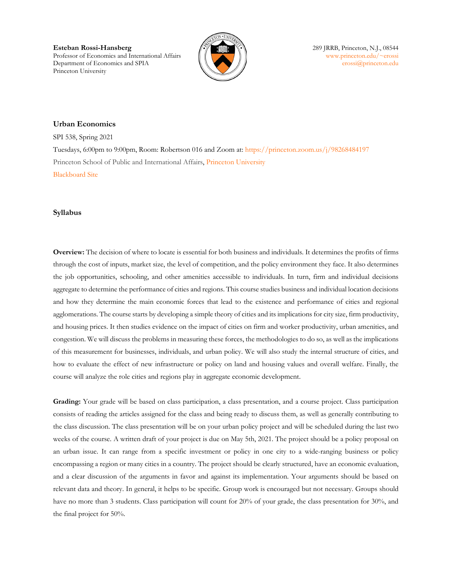**Esteban Rossi-Hansberg 289 JRRB, Princeton, N.J., 08544** Professor of Economics and International Affairs  $\|\|\$ Department of Economics and SPIA  $\parallel \parallel \parallel \parallel$  [erossi@princeton.edu](mailto:erossi@princeton.edu) Princeton University



## **Urban Economics**

SPI 538, Spring 2021 Tuesdays, 6:00pm to 9:00pm, Room: Robertson 016 and Zoom at:<https://princeton.zoom.us/j/98268484197> Princeton School of Public and International Affairs, Princeton University [Blackboard Site](https://blackboard.princeton.edu/webapps/blackboard/execute/announcement?method=search&context=course&course_id=_6128558_1&handle=cp_announcements&mode=cpview)

#### **Syllabus**

**Overview:** The decision of where to locate is essential for both business and individuals. It determines the profits of firms through the cost of inputs, market size, the level of competition, and the policy environment they face. It also determines the job opportunities, schooling, and other amenities accessible to individuals. In turn, firm and individual decisions aggregate to determine the performance of cities and regions. This course studies business and individual location decisions and how they determine the main economic forces that lead to the existence and performance of cities and regional agglomerations. The course starts by developing a simple theory of cities and its implications for city size, firm productivity, and housing prices. It then studies evidence on the impact of cities on firm and worker productivity, urban amenities, and congestion. We will discuss the problems in measuring these forces, the methodologies to do so, as well as the implications of this measurement for businesses, individuals, and urban policy. We will also study the internal structure of cities, and how to evaluate the effect of new infrastructure or policy on land and housing values and overall welfare. Finally, the course will analyze the role cities and regions play in aggregate economic development.

**Grading:** Your grade will be based on class participation, a class presentation, and a course project. Class participation consists of reading the articles assigned for the class and being ready to discuss them, as well as generally contributing to the class discussion. The class presentation will be on your urban policy project and will be scheduled during the last two weeks of the course. A written draft of your project is due on May 5th, 2021. The project should be a policy proposal on an urban issue. It can range from a specific investment or policy in one city to a wide-ranging business or policy encompassing a region or many cities in a country. The project should be clearly structured, have an economic evaluation, and a clear discussion of the arguments in favor and against its implementation. Your arguments should be based on relevant data and theory. In general, it helps to be specific. Group work is encouraged but not necessary. Groups should have no more than 3 students. Class participation will count for 20% of your grade, the class presentation for 30%, and the final project for 50%.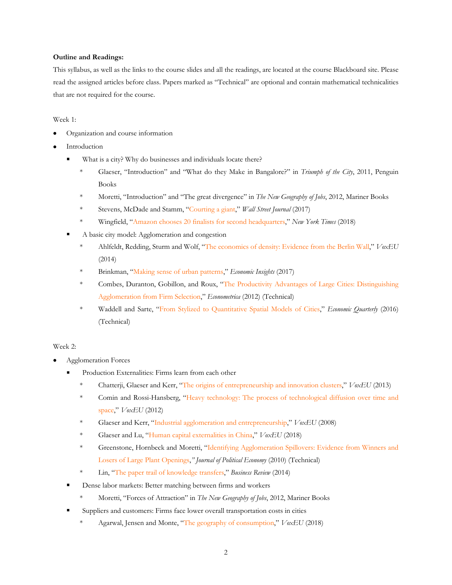#### **Outline and Readings:**

This syllabus, as well as the links to the course slides and all the readings, are located at the course Blackboard site. Please read the assigned articles before class. Papers marked as "Technical" are optional and contain mathematical technicalities that are not required for the course.

#### Week 1:

- Organization and course information
- **Introduction** 
	- What is a city? Why do businesses and individuals locate there?
		- \* Glaeser, "Introduction" and "What do they Make in Bangalore?" in *Triumph of the City*, 2011, Penguin Books
		- \* Moretti, "Introduction" and "The great divergence" in *The New Geography of Jobs*, 2012, Mariner Books
		- \* Stevens, McDade and Stamm, ["Courting a giant,"](https://www.wsj.com/graphics/amazon-headquarters/) *Wall Street Journal* (2017)
		- \* Wingfield, ["Amazon chooses 20 finalists for second headquarters,"](https://www.nytimes.com/2018/01/18/technology/amazon-finalists-headquarters.html) *New York Times* (2018)
	- A basic city model: Agglomeration and congestion
		- \* Ahlfeldt, Redding, Sturm and Wolf, ["The economics of density: Evidence from the Berlin](https://voxeu.org/article/economics-density-evidence-berlin-wall) Wall," *VoxEU* (2014)
		- \* Brinkman, ["Making sense of urban patterns,"](https://www.philadelphiafed.org/-/media/research-and-data/publications/economic-insights/2017/q1/eiq117_making-sense-of-urban-patterns.pdf?la=en) *Economic Insights* (2017)
		- \* Combes, Duranton, Gobillon, and Roux, ["The Productivity Advantages of Large Cities: Distinguishing](http://onlinelibrary.wiley.com/doi/10.3982/ECTA8442/pdf)  [Agglomeration from Firm Selection,](http://onlinelibrary.wiley.com/doi/10.3982/ECTA8442/pdf)" *Econometrica* (2012) (Technical)
		- \* Waddell and Sarte, ["From Stylized to Quantitative Spatial Models of Cities,"](https://www.richmondfed.org/-/media/richmondfedorg/publications/research/economic_quarterly/2016/q3/sarte.pdf) *Economic Quarterly* (2016) (Technical)

#### Week 2:

- Agglomeration Forces
	- Production Externalities: Firms learn from each other
		- \* Chatterji, Glaeser and Kerr, ["The origins of entrepreneurship and innovation clusters,](https://voxeu.org/article/origins-entrepreneurship-and-innovation-clusters)" *VoxEU* (2013)
		- \* Comin and Rossi-Hansberg, ["Heavy technology: The process of technological diffusion over time and](https://voxeu.org/article/heavy-technology-process-technological-diffusion-over-time-and-space)  [space,"](https://voxeu.org/article/heavy-technology-process-technological-diffusion-over-time-and-space) *VoxEU* (2012)
		- \* Glaeser and Kerr, ["Industrial agglomeration and entrepreneurship,](https://voxeu.org/article/industrial-agglomeration-and-entrepreneurship)" *VoxEU* (2008)
		- \* Glaeser and Lu, ["Human capital externalities in China,](https://voxeu.org/article/human-capital-externalities-china)" *VoxEU* (2018)
		- \* Greenstone, Hornbeck and Moretti, ["Identifying Agglomeration Spillovers: Evidence from Winners and](http://www.jstor.org/stable/10.1086/653714)  [Losers of Large Plant Openings,](http://www.jstor.org/stable/10.1086/653714)*" Journal of Political Economy* (2010) (Technical)
		- \* Lin, ["The paper trail of knowledge transfers,"](https://jlin.org/papers/Lin-PTKT.pdf) *Business Review* (2014)
	- Dense labor markets: Better matching between firms and workers
		- Moretti, "Forces of Attraction" in *The New Geography of Jobs*, 2012, Mariner Books
	- Suppliers and customers: Firms face lower overall transportation costs in cities
		- \* Agarwal, Jensen and Monte, ["The geography of consumption,"](https://voxeu.org/article/geography-consumption) *VoxEU* (2018)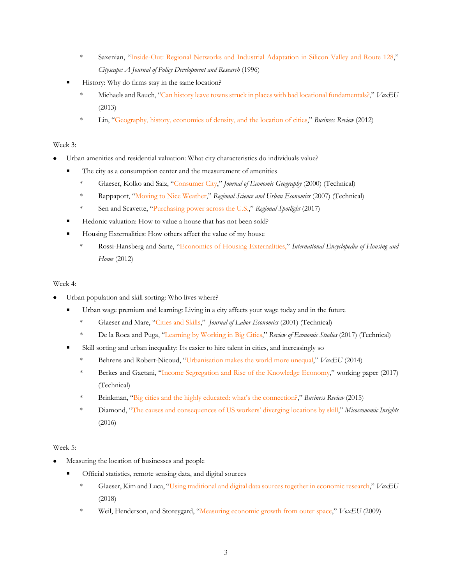- \* Saxenian, ["Inside-Out: Regional Networks and Industrial Adaptation in Silicon Valley and Route 128,"](http://www.google.com/url?sa=t&rct=j&q=&esrc=s&frm=1&source=web&cd=1&ved=0CCMQFjAA&url=http%3A%2F%2Fpeople.ischool.berkeley.edu%2F%7Eanno%2FPapers%2Finside-out1996.pdf&ei=F7opT5uCMMPX0QGg_9G7Cg&usg=AFQjCNGaV4r0_gVGXRRAgLD7_EWm_Gg25g&sig2=3bncNLr52cgUGqahaTgRmw) *Cityscape: A Journal of Policy Development and Research* (1996)
- History: Why do firms stay in the same location?
	- \* Michaels and Rauch, ["Can history leave towns struck in places with bad locational fundamentals?,](https://voxeu.org/article/are-towns-stuck-wrong-places)" *VoxEU* (2013)
	- \* Lin, ["Geography, history, economies of density, and the location of cities,"](https://jlin.org/papers/Lin-GHEDLC.pdf) *Business Review* (2012)

## Week 3:

- Urban amenities and residential valuation: What city characteristics do individuals value?
	- The city as a consumption center and the measurement of amenities
		- \* Glaeser, Kolko and Saiz, ["Consumer City,](http://joeg.oxfordjournals.org/content/1/1/27.full.pdf+html)" *Journal of Economic Geography* (2000) (Technical)
		- \* Rappaport, ["Moving to Nice Weather,](http://www.sciencedirect.com/science/article/pii/S0166046206001001)" *Regional Science and Urban Economics* (2007) (Technical)
		- \* Sen and Scavette, ["Purchasing power across the U.S.,](https://www.philadelphiafed.org/-/media/frbp/assets/economy/articles/economic-insights/2017/q4/rs_purchasing-power.pdf)" *Regional Spotlight* (2017)
	- Hedonic valuation: How to value a house that has not been sold?
	- Housing Externalities: How others affect the value of my house
		- \* Rossi-Hansberg and Sarte, ["Economics of Housing Externalities,](http://www.princeton.edu/%7Eerossi/EHE.pdf)" *International Encyclopedia of Housing and Home* (2012)

### Week 4:

- Urban population and skill sorting: Who lives where?
	- Urban wage premium and learning: Living in a city affects your wage today and in the future
		- \* Glaeser and Mare, ["Cities and Skills,"](http://www.jstor.org/stable/10.1086/319563) *Journal of Labor Economics* (2001) (Technical)
		- \* De la Roca and Puga, ["Learning by Working in Big Cities,](https://diegopuga.org/papers/DeLaRoca_Puga_REStud_2017.pdf)" *Review of Economic Studies* (2017) (Technical)
	- Skill sorting and urban inequality: Its easier to hire talent in cities, and increasingly so
		- \* Behrens and Robert-Nicoud, ["Urbanisation makes the world more unequal,"](https://voxeu.org/article/inequality-big-cities) *VoxEU* (2014)
		- \* Berkes and Gaetani, ["Income Segregation and Rise of the Knowledge Economy,](https://sites.northwestern.edu/eberkes/files/2016/08/Berkes_Gaetani_Segregation_November2_2017-1nkccq1.pdf)" working paper (2017) (Technical)
		- \* Brinkman, ["Big cities and the highly educated: what's the connection?,](https://www.philadelphiafed.org/-/media/frbp/assets/economy/articles/business-review/2015/q3/brq315_big_cities_and_the_highly_educated.pdf)" *Business Review* (2015)
		- \* Diamond, ["The causes and consequences of US workers' diverging locations by skill,](http://microeconomicinsights.org/causes-consequences-us-workers-diverging-locations-skill/)" *Micoeconomic Insights* (2016)

# Week 5:

- Measuring the location of businesses and people
	- Official statistics, remote sensing data, and digital sources
		- \* Glaeser, Kim and Luca, ["Using traditional and digital data sources together in economic research,"](https://voxeu.org/article/measuring-local-economy-yelp-data) *VoxEU*  (2018)
		- \* Weil, Henderson, and Storeygard, ["Measuring economic growth from outer space,"](https://voxeu.org/article/measuring-economic-growth-outer-space) *VoxEU* (2009)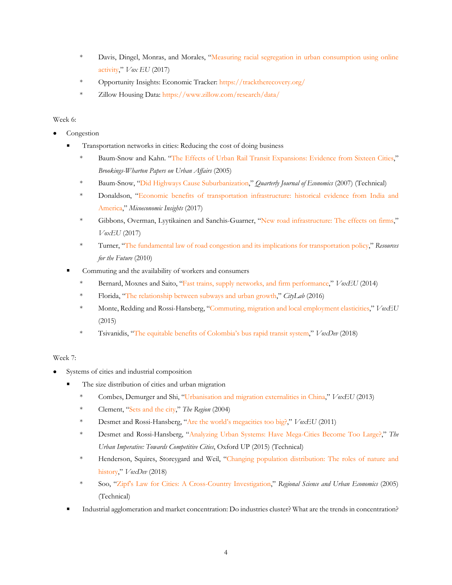- \* Davis, Dingel, Monras, and Morales, ["Measuring racial segregation in urban consumption using online](https://voxeu.org/article/measuring-racial-segregation-urban-consumption)  [activity,"](https://voxeu.org/article/measuring-racial-segregation-urban-consumption) *Vox EU* (2017)
- \* Opportunity Insights: Economic Tracker:<https://tracktherecovery.org/>
- \* Zillow Housing Data:<https://www.zillow.com/research/data/>

### Week 6:

- Congestion
	- Transportation networks in cities: Reducing the cost of doing business
		- \* Baum-Snow and Kahn. ["The Effects of Urban Rail Transit Expansions: Evidence from Sixteen Cities,"](http://www.jstor.org/stable/25067419?seq=1#page_scan_tab_contents) *Brookings-Wharton Papers on Urban Affairs* (2005)
		- \* Baum-Snow, ["Did Highways Cause Suburbanization,](http://qje.oxfordjournals.org/content/122/2/775.full.pdf+html)" *Quarterly Journal of Economics* (2007) (Technical)
		- \* Donaldson, ["Economic benefits of transportation infrastructure: historical evidence from India and](http://microeconomicinsights.org/economic-benefits-transportation-infrastructure/)  [America,"](http://microeconomicinsights.org/economic-benefits-transportation-infrastructure/) *Micoeconomic Insights* (2017)
		- \* Gibbons, Overman, Lyytikainen and Sanchis-Guarner, ["New road infrastructure: The effects on firms,"](https://voxeu.org/article/new-road-infrastructure-effects-firms) *VoxEU* (2017)
		- \* Turner, ["The fundamental law of road congestion and its implications for transportation policy,"](http://www.rff.org/blog/2010/fundamental-law-road-congestion-and-its-implications-transportation-policy) *Resources for the Future* (2010)
	- Commuting and the availability of workers and consumers
		- \* Bernard, Moxnes and Saito, ["Fast trains, supply networks, and firm performance,"](https://voxeu.org/article/fast-trains-and-firm-performance-new-japanese-evidence) *VoxEU* (2014)
		- \* Florida, ["The relationship between subways and urban growth,"](https://www.citylab.com/transportation/2016/06/the-relationship-between-subways-and-urban-growth/485006/) *CityLab* (2016)
		- \* Monte, Redding and Rossi-Hansberg, ["Commuting, migration and local employment elasticities,"](https://voxeu.org/article/commuting-and-local-jobs) *VoxEU*  (2015)
		- \* Tsivanidis, ["The equitable benefits of Colombia's bus rapid transit system,"](https://voxdev.org/topic/infrastructure-urbanisation/equitable-benefits-colombia-s-bus-rapid-transit-system) *VoxDev* (2018)

### Week 7:

- Systems of cities and industrial composition
	- The size distribution of cities and urban migration
		- \* Combes, Demurger and Shi, ["Urbanisation and migration externalities in China,"](https://voxeu.org/article/urbanisation-and-migration-externalities-china) *VoxEU* (2013)
		- \* Clement, ["Sets and the city,](https://www.minneapolisfed.org/publications/the-region/sets-and-the-city)" *The Region* (2004)
		- \* Desmet and Rossi-Hansberg, ["Are the world's megacities too](https://voxeu.org/article/are-world-s-megacities-too-big) big?," *VoxEU* (2011)
		- \* Desmet and Rossi-Hansberg, ["Analyzing Urban Systems: Have Mega-Cities Become Too Large?,](http://www.princeton.edu/%7Eerossi/WBGlaeser040412.pdf)" *The Urban Imperative: Towards Competitive Cities*, Oxford UP (2015) (Technical)
		- \* Henderson, Squires, Storeygard and Weil, ["Changing population distribution: The roles of nature and](https://voxdev.org/topic/infrastructure-urbanisation/changing-population-distribution-roles-nature-and-history-1)  [history,](https://voxdev.org/topic/infrastructure-urbanisation/changing-population-distribution-roles-nature-and-history-1)" *VoxDev* (2018)
		- \* Soo, ["Zipf's Law for Cities: A Cross-Country Investigation,](http://www.sciencedirect.com/science/article/pii/S016604620400033X)" *Regional Science and Urban Economics* (2005) (Technical)
	- Industrial agglomeration and market concentration: Do industries cluster? What are the trends in concentration?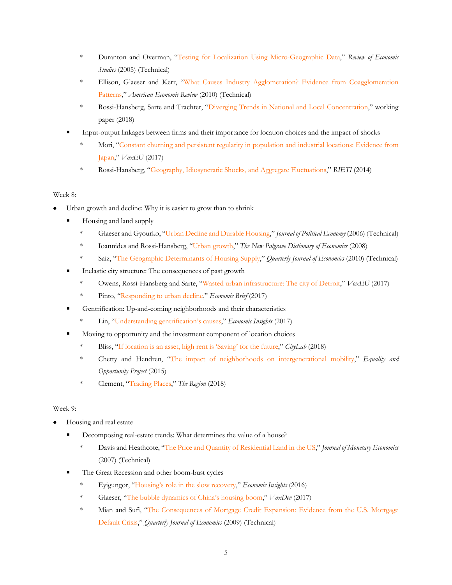- \* Duranton and Overman, ["Testing for Localization Using Micro-Geographic Data,](http://restud.oxfordjournals.org/content/72/4/1077.full.pdf+html)" *Review of Economic Studies* (2005) (Technical)
- \* Ellison, Glaeser and Kerr, ["What Causes Industry Agglomeration? Evidence from Coagglomeration](http://www.aeaweb.org/atypon.php?return_to=/doi/pdfplus/10.1257/aer.100.3.1195)  [Patterns,](http://www.aeaweb.org/atypon.php?return_to=/doi/pdfplus/10.1257/aer.100.3.1195)" *American Economic Review* (2010) (Technical)
- \* Rossi-Hansberg, Sarte and Trachter, ["Diverging Trends in National and Local Concentration,"](https://www.princeton.edu/%7Eerossi/DTNLC.pdf) working paper (2018)
- Input-output linkages between firms and their importance for location choices and the impact of shocks
	- \* Mori, ["Constant churning and persistent regularity in population and industrial locations: Evidence from](https://voxeu.org/article/size-and-industrial-structure-japanese-cities)  [Japan,](https://voxeu.org/article/size-and-industrial-structure-japanese-cities)" *VoxEU* (2017)
	- \* Rossi-Hansberg, ["Geography, Idiosyncratic Shocks, and Aggregate Fluctuations,](https://www.rieti.go.jp/en/special/p_a_w/041.html)" *RIETI* (2014)

# Week 8:

- Urban growth and decline: Why it is easier to grow than to shrink
	- Housing and land supply
		- \* Glaeser and Gyourko, ["Urban Decline and](http://www.jstor.org/stable/10.1086/427465) Durable Housing," *Journal of Political Economy* (2006) (Technical)
		- \* Ioannides and Rossi-Hansberg, ["Urban growth,](https://www.princeton.edu/%7Eerossi/UG.pdf)" *The New Palgrave Dictionary of Economics* (2008)
		- Saiz, ["The Geographic Determinants of Housing Supply,](http://qje.oxfordjournals.org/content/125/3/1253.full.pdf+html)" *Quarterly Journal of Economics* (2010) (Technical)
	- Inelastic city structure: The consequences of past growth
		- \* Owens, Rossi-Hansberg and Sarte, ["Wasted urban infrastructure: The city of Detroit,](https://voxeu.org/article/wasted-urban-infrastructure-city-detroit)" *VoxEU* (2017)
		- \* Pinto, ["Responding to urban decline,](https://www.richmondfed.org/publications/research/economic_brief/2017/eb_17-07)" *Economic Brief* (2017)
	- Gentrification: Up-and-coming neighborhoods and their characteristics
		- \* Lin, ["Understanding gentrification's causes,"](https://jlin.org/papers/Lin-UGC.pdf) *Economic Insights* (2017)
	- Moving to opportunity and the investment component of location choices
		- Bliss, ["If location is an asset, high rent is 'Saving' for the future,](https://www.citylab.com/life/2018/08/paying-high-rent-in-pricey-cities-is-saving-for-the-future/566468/)" *CityLab* (2018)
		- \* Chetty and Hendren, ["The impact of neighborhoods on intergenerational mobility,](http://www.equality-of-opportunity.org/assets/documents/nbhds_exec_summary.pdf)" *Equality and Opportunity Project* (2015)
		- \* Clement, ["Trading Places,](https://www.minneapolisfed.org/publications/the-region/trading-places-research-digest)" *The Region* (2018)

# Week 9:

- Housing and real estate
	- Decomposing real-estate trends: What determines the value of a house?
		- \* Davis and Heathcote, ["The Price and Quantity of Residential Land in the US,"](http://dx.doi.org/10.1016/j.jmoneco.2007.06.023) *Journal of Monetary Economics* (2007) (Technical)
	- The Great Recession and other boom-bust cycles
		- \* Eyigungor, ["Housing's role in the slow recovery,"](https://www.philadelphiafed.org/-/media/research-and-data/publications/economic-insights/2016/q2/eiq216_housings_role.pdf?la=en) *Economic Insights* (2016)
		- \* Glaeser, ["The bubble dynamics of China's housing boom,"](https://voxdev.org/topic/infrastructure-urbanisation/bubble-dynamics-china-s-housing-boom) *VoxDev* (2017)
		- \* Mian and Sufi, ["The Consequences of Mortgage Credit Expansion: Evidence from the U.S. Mortgage](http://qje.oxfordjournals.org/content/124/4/1449.full.pdf+html)  [Default Crisis,"](http://qje.oxfordjournals.org/content/124/4/1449.full.pdf+html) *Quarterly Journal of Economics* (2009) (Technical)